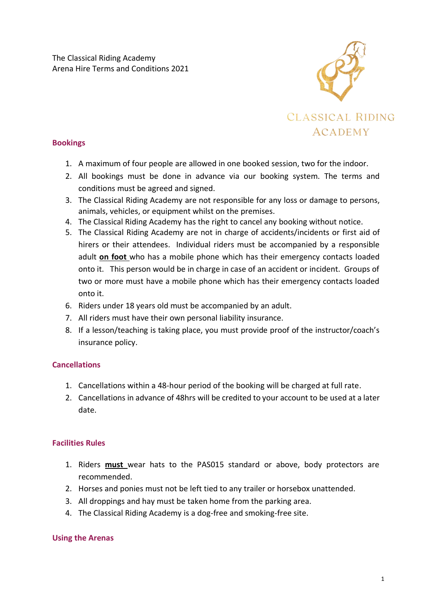

### **Bookings**

- 1. A maximum of four people are allowed in one booked session, two for the indoor.
- 2. All bookings must be done in advance via our booking system. The terms and conditions must be agreed and signed.
- 3. The Classical Riding Academy are not responsible for any loss or damage to persons, animals, vehicles, or equipment whilst on the premises.
- 4. The Classical Riding Academy has the right to cancel any booking without notice.
- 5. The Classical Riding Academy are not in charge of accidents/incidents or first aid of hirers or their attendees. Individual riders must be accompanied by a responsible adult **on foot** who has a mobile phone which has their emergency contacts loaded onto it. This person would be in charge in case of an accident or incident. Groups of two or more must have a mobile phone which has their emergency contacts loaded onto it.
- 6. Riders under 18 years old must be accompanied by an adult.
- 7. All riders must have their own personal liability insurance.
- 8. If a lesson/teaching is taking place, you must provide proof of the instructor/coach's insurance policy.

## **Cancellations**

- 1. Cancellations within a 48-hour period of the booking will be charged at full rate.
- 2. Cancellations in advance of 48hrs will be credited to your account to be used at a later date.

#### **Facilities Rules**

- 1. Riders **must** wear hats to the PAS015 standard or above, body protectors are recommended.
- 2. Horses and ponies must not be left tied to any trailer or horsebox unattended.
- 3. All droppings and hay must be taken home from the parking area.
- 4. The Classical Riding Academy is a dog-free and smoking-free site.

#### **Using the Arenas**